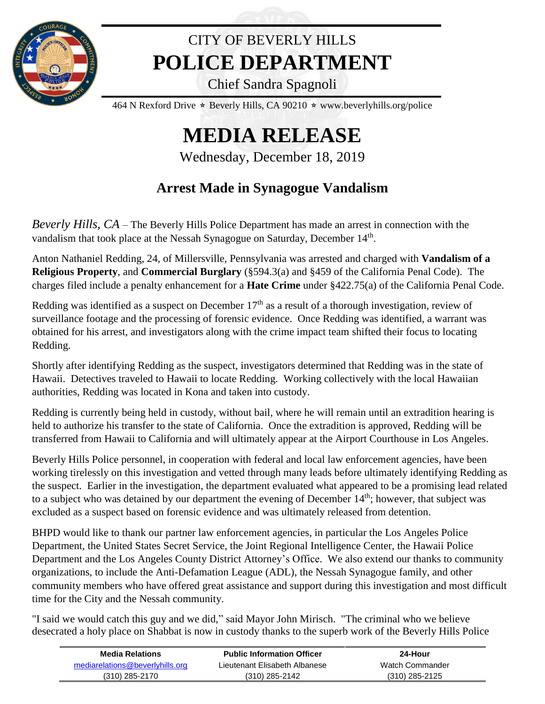

## CITY OF BEVERLY HILLS **POLICE DEPARTMENT**

Chief Sandra Spagnoli

464 N Rexford Drive  $\star$  Beverly Hills, CA 90210  $\star$  www.beverlyhills.org/police

## **MEDIA RELEASE**

Wednesday, December 18, 2019

## **Arrest Made in Synagogue Vandalism**

*Beverly Hills, CA* – The Beverly Hills Police Department has made an arrest in connection with the vandalism that took place at the Nessah Synagogue on Saturday, December  $14<sup>th</sup>$ .

Anton Nathaniel Redding, 24, of Millersville, Pennsylvania was arrested and charged with **Vandalism of a Religious Property**, and **Commercial Burglary** (§594.3(a) and §459 of the California Penal Code). The charges filed include a penalty enhancement for a **Hate Crime** under §422.75(a) of the California Penal Code.

Redding was identified as a suspect on December  $17<sup>th</sup>$  as a result of a thorough investigation, review of surveillance footage and the processing of forensic evidence. Once Redding was identified, a warrant was obtained for his arrest, and investigators along with the crime impact team shifted their focus to locating Redding.

Shortly after identifying Redding as the suspect, investigators determined that Redding was in the state of Hawaii. Detectives traveled to Hawaii to locate Redding. Working collectively with the local Hawaiian authorities, Redding was located in Kona and taken into custody.

Redding is currently being held in custody, without bail, where he will remain until an extradition hearing is held to authorize his transfer to the state of California. Once the extradition is approved, Redding will be transferred from Hawaii to California and will ultimately appear at the Airport Courthouse in Los Angeles.

Beverly Hills Police personnel, in cooperation with federal and local law enforcement agencies, have been working tirelessly on this investigation and vetted through many leads before ultimately identifying Redding as the suspect. Earlier in the investigation, the department evaluated what appeared to be a promising lead related to a subject who was detained by our department the evening of December 14<sup>th</sup>; however, that subject was excluded as a suspect based on forensic evidence and was ultimately released from detention.

BHPD would like to thank our partner law enforcement agencies, in particular the Los Angeles Police Department, the United States Secret Service, the Joint Regional Intelligence Center, the Hawaii Police Department and the Los Angeles County District Attorney's Office. We also extend our thanks to community organizations, to include the Anti-Defamation League (ADL), the Nessah Synagogue family, and other community members who have offered great assistance and support during this investigation and most difficult time for the City and the Nessah community.

"I said we would catch this guy and we did," said Mayor John Mirisch. "The criminal who we believe desecrated a holy place on Shabbat is now in custody thanks to the superb work of the Beverly Hills Police

| Media Relations                 | <b>Public Information Officer</b> | 24-Hour          |  |
|---------------------------------|-----------------------------------|------------------|--|
| mediarelations@beverlyhills.org | Lieutenant Elisabeth Albanese     | Watch Commander  |  |
| $(310)$ 285-2170                | $(310)$ 285-2142                  | $(310)$ 285-2125 |  |